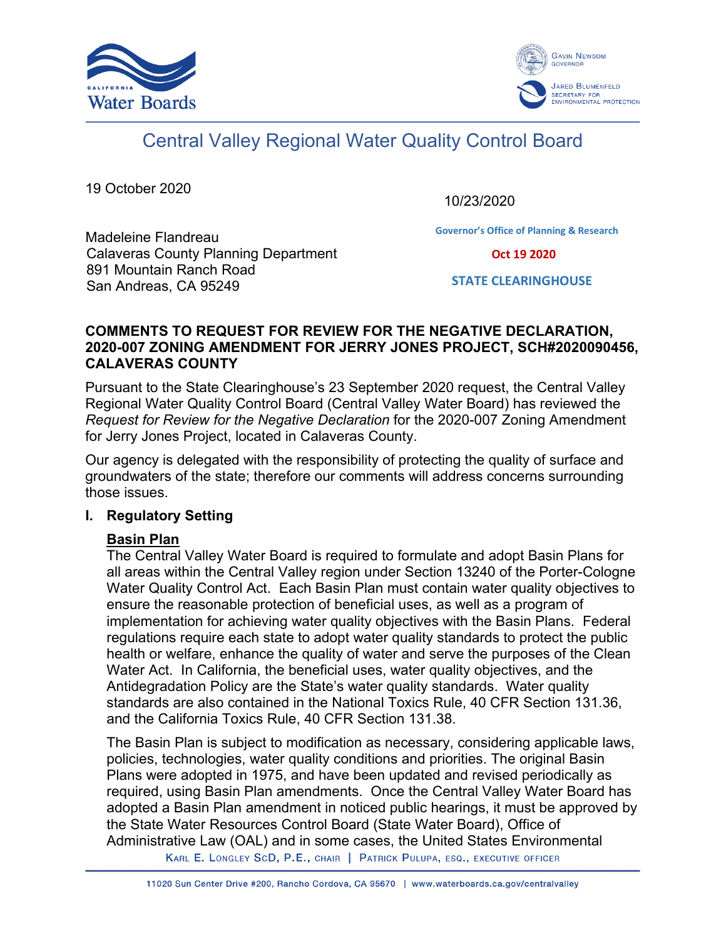



# Central Valley Regional Water Quality Control Board

19 October 2020

10/23/2020

**Governor's Office of Planning & Research**

Madeleine Flandreau Calaveras County Planning Department 891 Mountain Ranch Road San Andreas, CA 95249

 **Oct 19 2020**

**STATE CLEARINGHOUSE**

### **COMMENTS TO REQUEST FOR REVIEW FOR THE NEGATIVE DECLARATION, 2020-007 ZONING AMENDMENT FOR JERRY JONES PROJECT, SCH#2020090456, CALAVERAS COUNTY**

Pursuant to the State Clearinghouse's 23 September 2020 request, the Central Valley Regional Water Quality Control Board (Central Valley Water Board) has reviewed the *Request for Review for the Negative Declaration* for the 2020-007 Zoning Amendment for Jerry Jones Project, located in Calaveras County.

Our agency is delegated with the responsibility of protecting the quality of surface and groundwaters of the state; therefore our comments will address concerns surrounding those issues.

## **I. Regulatory Setting**

## **Basin Plan**

The Central Valley Water Board is required to formulate and adopt Basin Plans for all areas within the Central Valley region under Section 13240 of the Porter-Cologne Water Quality Control Act. Each Basin Plan must contain water quality objectives to ensure the reasonable protection of beneficial uses, as well as a program of implementation for achieving water quality objectives with the Basin Plans. Federal regulations require each state to adopt water quality standards to protect the public health or welfare, enhance the quality of water and serve the purposes of the Clean Water Act. In California, the beneficial uses, water quality objectives, and the Antidegradation Policy are the State's water quality standards. Water quality standards are also contained in the National Toxics Rule, 40 CFR Section 131.36, and the California Toxics Rule, 40 CFR Section 131.38.

The Basin Plan is subject to modification as necessary, considering applicable laws, policies, technologies, water quality conditions and priorities. The original Basin Plans were adopted in 1975, and have been updated and revised periodically as required, using Basin Plan amendments. Once the Central Valley Water Board has adopted a Basin Plan amendment in noticed public hearings, it must be approved by the State Water Resources Control Board (State Water Board), Office of Administrative Law (OAL) and in some cases, the United States Environmental

KARL E. LONGLEY SCD, P.E., CHAIR | PATRICK PULUPA, ESQ., EXECUTIVE OFFICER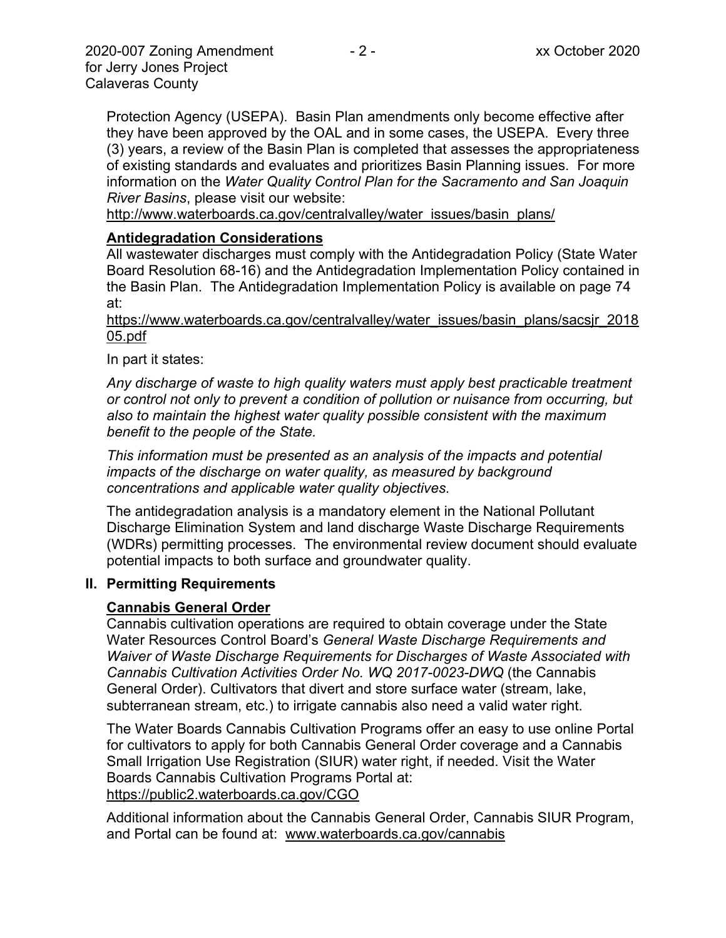Protection Agency (USEPA). Basin Plan amendments only become effective after they have been approved by the OAL and in some cases, the USEPA. Every three (3) years, a review of the Basin Plan is completed that assesses the appropriateness of existing standards and evaluates and prioritizes Basin Planning issues. For more information on the *Water Quality Control Plan for the Sacramento and San Joaquin River Basins*, please visit our website:

[http://www.waterboards.ca.gov/centralvalley/water\\_issues/basin\\_plans/](http://www.waterboards.ca.gov/centralvalley/water_issues/basin_plans/)

#### **Antidegradation Considerations**

All wastewater discharges must comply with the Antidegradation Policy (State Water Board Resolution 68-16) and the Antidegradation Implementation Policy contained in the Basin Plan. The Antidegradation Implementation Policy is available on page 74 at:

https://www.waterboards.ca.gov/centralvalley/water\_issues/basin\_plans/sacsjr\_2018 05.pdf

#### In part it states:

*Any discharge of waste to high quality waters must apply best practicable treatment or control not only to prevent a condition of pollution or nuisance from occurring, but also to maintain the highest water quality possible consistent with the maximum benefit to the people of the State.*

*This information must be presented as an analysis of the impacts and potential impacts of the discharge on water quality, as measured by background concentrations and applicable water quality objectives.*

The antidegradation analysis is a mandatory element in the National Pollutant Discharge Elimination System and land discharge Waste Discharge Requirements (WDRs) permitting processes. The environmental review document should evaluate potential impacts to both surface and groundwater quality.

#### **II. Permitting Requirements**

#### **Cannabis General Order**

Cannabis cultivation operations are required to obtain coverage under the State Water Resources Control Board's *General Waste Discharge Requirements and Waiver of Waste Discharge Requirements for Discharges of Waste Associated with Cannabis Cultivation Activities Order No. WQ 2017-0023-DWQ* (the Cannabis General Order). Cultivators that divert and store surface water (stream, lake, subterranean stream, etc.) to irrigate cannabis also need a valid water right.

The Water Boards Cannabis Cultivation Programs offer an easy to use online Portal for cultivators to apply for both Cannabis General Order coverage and a Cannabis Small Irrigation Use Registration (SIUR) water right, if needed. Visit the Water Boards Cannabis Cultivation Programs Portal at: https://public2.waterboards.ca.gov/CGO

Additional information about the Cannabis General Order, Cannabis SIUR Program, and Portal can be found at: www.waterboards.ca.gov/cannabis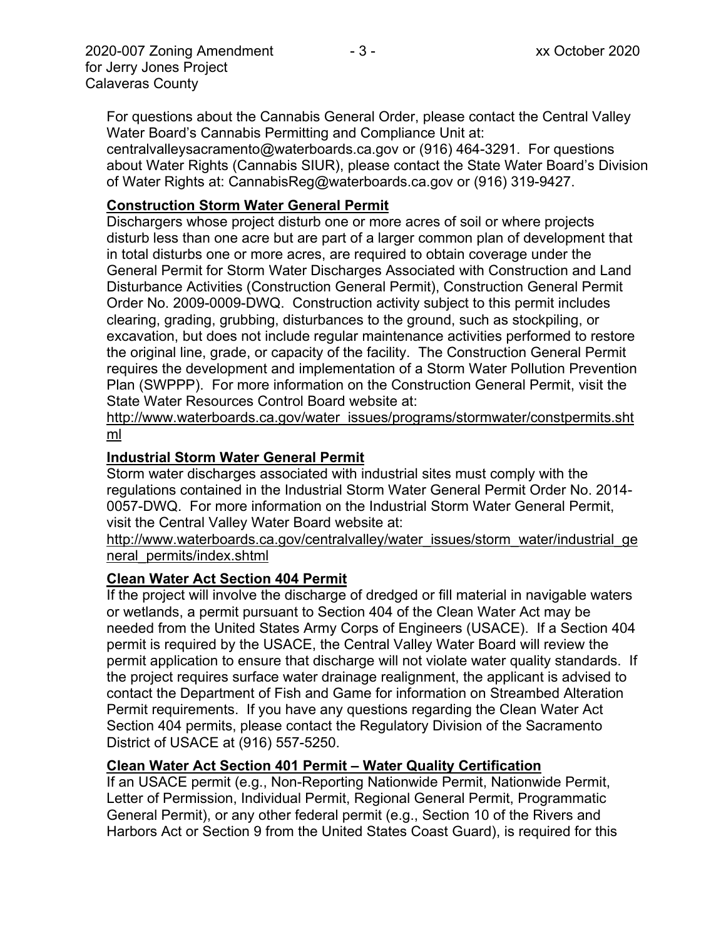For questions about the Cannabis General Order, please contact the Central Valley Water Board's Cannabis Permitting and Compliance Unit at: centralvalleysacramento@waterboards.ca.gov or (916) 464-3291. For questions

about Water Rights (Cannabis SIUR), please contact the State Water Board's Division of Water Rights at: CannabisReg@waterboards.ca.gov or (916) 319-9427.

### **Construction Storm Water General Permit**

Dischargers whose project disturb one or more acres of soil or where projects disturb less than one acre but are part of a larger common plan of development that in total disturbs one or more acres, are required to obtain coverage under the General Permit for Storm Water Discharges Associated with Construction and Land Disturbance Activities (Construction General Permit), Construction General Permit Order No. 2009-0009-DWQ. Construction activity subject to this permit includes clearing, grading, grubbing, disturbances to the ground, such as stockpiling, or excavation, but does not include regular maintenance activities performed to restore the original line, grade, or capacity of the facility. The Construction General Permit requires the development and implementation of a Storm Water Pollution Prevention Plan (SWPPP). For more information on the Construction General Permit, visit the State Water Resources Control Board website at:

[http://www.waterboards.ca.gov/water\\_issues/programs/stormwater/constpermits.sht](http://www.waterboards.ca.gov/water_issues/programs/stormwater/constpermits.shtml) [ml](http://www.waterboards.ca.gov/water_issues/programs/stormwater/constpermits.shtml)

## **Industrial Storm Water General Permit**

Storm water discharges associated with industrial sites must comply with the regulations contained in the Industrial Storm Water General Permit Order No. 2014- 0057-DWQ. For more information on the Industrial Storm Water General Permit, visit the Central Valley Water Board website at:

http://www.waterboards.ca.gov/centralvalley/water\_issues/storm\_water/industrial\_ge neral\_permits/index.shtml

## **Clean Water Act Section 404 Permit**

If the project will involve the discharge of dredged or fill material in navigable waters or wetlands, a permit pursuant to Section 404 of the Clean Water Act may be needed from the United States Army Corps of Engineers (USACE). If a Section 404 permit is required by the USACE, the Central Valley Water Board will review the permit application to ensure that discharge will not violate water quality standards. If the project requires surface water drainage realignment, the applicant is advised to contact the Department of Fish and Game for information on Streambed Alteration Permit requirements. If you have any questions regarding the Clean Water Act Section 404 permits, please contact the Regulatory Division of the Sacramento District of USACE at (916) 557-5250.

## **Clean Water Act Section 401 Permit – Water Quality Certification**

If an USACE permit (e.g., Non-Reporting Nationwide Permit, Nationwide Permit, Letter of Permission, Individual Permit, Regional General Permit, Programmatic General Permit), or any other federal permit (e.g., Section 10 of the Rivers and Harbors Act or Section 9 from the United States Coast Guard), is required for this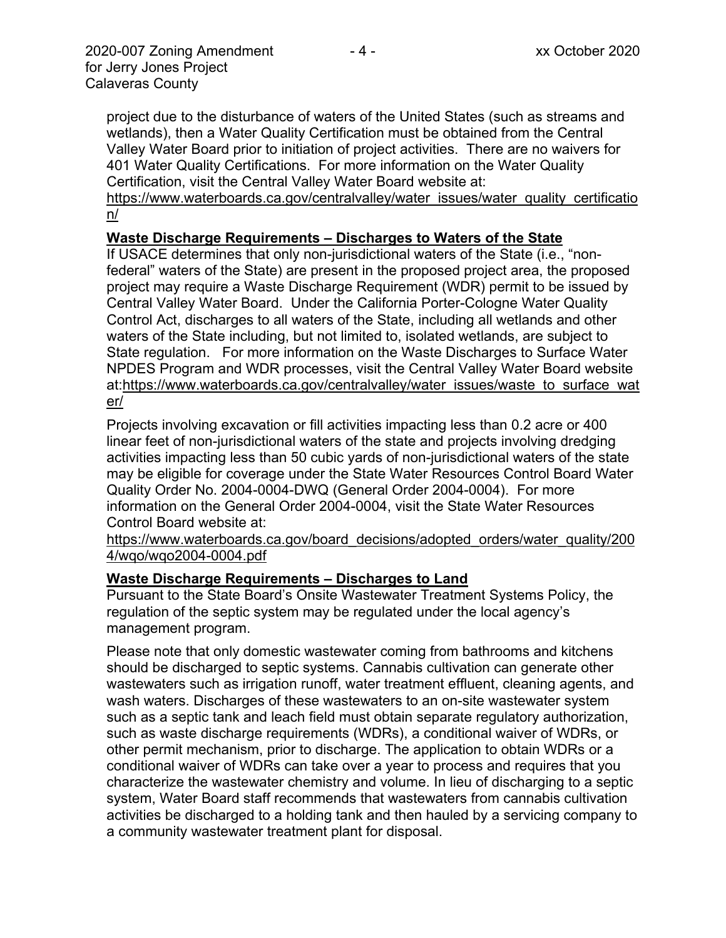project due to the disturbance of waters of the United States (such as streams and wetlands), then a Water Quality Certification must be obtained from the Central Valley Water Board prior to initiation of project activities. There are no waivers for 401 Water Quality Certifications. For more information on the Water Quality Certification, visit the Central Valley Water Board website at:

https://www.waterboards.ca.gov/centralvalley/water\_issues/water\_quality\_certificatio n/

#### **Waste Discharge Requirements – Discharges to Waters of the State**

If USACE determines that only non-jurisdictional waters of the State (i.e., "nonfederal" waters of the State) are present in the proposed project area, the proposed project may require a Waste Discharge Requirement (WDR) permit to be issued by Central Valley Water Board. Under the California Porter-Cologne Water Quality Control Act, discharges to all waters of the State, including all wetlands and other waters of the State including, but not limited to, isolated wetlands, are subject to State regulation. For more information on the Waste Discharges to Surface Water NPDES Program and WDR processes, visit the Central Valley Water Board website at:https://www.waterboards.ca.gov/centralvalley/water\_issues/waste\_to\_surface\_wat er/

Projects involving excavation or fill activities impacting less than 0.2 acre or 400 linear feet of non-jurisdictional waters of the state and projects involving dredging activities impacting less than 50 cubic yards of non-jurisdictional waters of the state may be eligible for coverage under the State Water Resources Control Board Water Quality Order No. 2004-0004-DWQ (General Order 2004-0004). For more information on the General Order 2004-0004, visit the State Water Resources Control Board website at:

https://www.waterboards.ca.gov/board\_decisions/adopted\_orders/water\_quality/200 4/wqo/wqo2004-0004.pdf

#### **Waste Discharge Requirements – Discharges to Land**

Pursuant to the State Board's Onsite Wastewater Treatment Systems Policy, the regulation of the septic system may be regulated under the local agency's management program.

Please note that only domestic wastewater coming from bathrooms and kitchens should be discharged to septic systems. Cannabis cultivation can generate other wastewaters such as irrigation runoff, water treatment effluent, cleaning agents, and wash waters. Discharges of these wastewaters to an on-site wastewater system such as a septic tank and leach field must obtain separate regulatory authorization, such as waste discharge requirements (WDRs), a conditional waiver of WDRs, or other permit mechanism, prior to discharge. The application to obtain WDRs or a conditional waiver of WDRs can take over a year to process and requires that you characterize the wastewater chemistry and volume. In lieu of discharging to a septic system, Water Board staff recommends that wastewaters from cannabis cultivation activities be discharged to a holding tank and then hauled by a servicing company to a community wastewater treatment plant for disposal.